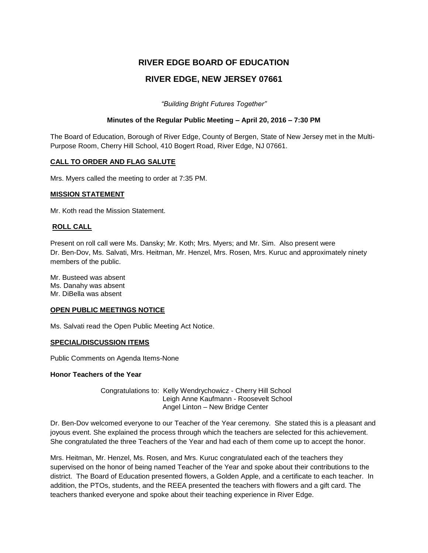# **RIVER EDGE BOARD OF EDUCATION**

## **RIVER EDGE, NEW JERSEY 07661**

*"Building Bright Futures Together"*

## **Minutes of the Regular Public Meeting – April 20, 2016 – 7:30 PM**

The Board of Education, Borough of River Edge, County of Bergen, State of New Jersey met in the Multi-Purpose Room, Cherry Hill School, 410 Bogert Road, River Edge, NJ 07661.

#### **CALL TO ORDER AND FLAG SALUTE**

Mrs. Myers called the meeting to order at 7:35 PM.

### **MISSION STATEMENT**

Mr. Koth read the Mission Statement.

### **ROLL CALL**

Present on roll call were Ms. Dansky; Mr. Koth; Mrs. Myers; and Mr. Sim. Also present were Dr. Ben-Dov, Ms. Salvati, Mrs. Heitman, Mr. Henzel, Mrs. Rosen, Mrs. Kuruc and approximately ninety members of the public.

Mr. Busteed was absent Ms. Danahy was absent Mr. DiBella was absent

#### **OPEN PUBLIC MEETINGS NOTICE**

Ms. Salvati read the Open Public Meeting Act Notice.

## **SPECIAL/DISCUSSION ITEMS**

Public Comments on Agenda Items-None

#### **Honor Teachers of the Year**

Congratulations to: Kelly Wendrychowicz - Cherry Hill School Leigh Anne Kaufmann - Roosevelt School Angel Linton – New Bridge Center

Dr. Ben-Dov welcomed everyone to our Teacher of the Year ceremony. She stated this is a pleasant and joyous event. She explained the process through which the teachers are selected for this achievement. She congratulated the three Teachers of the Year and had each of them come up to accept the honor.

Mrs. Heitman, Mr. Henzel, Ms. Rosen, and Mrs. Kuruc congratulated each of the teachers they supervised on the honor of being named Teacher of the Year and spoke about their contributions to the district. The Board of Education presented flowers, a Golden Apple, and a certificate to each teacher. In addition, the PTOs, students, and the REEA presented the teachers with flowers and a gift card. The teachers thanked everyone and spoke about their teaching experience in River Edge.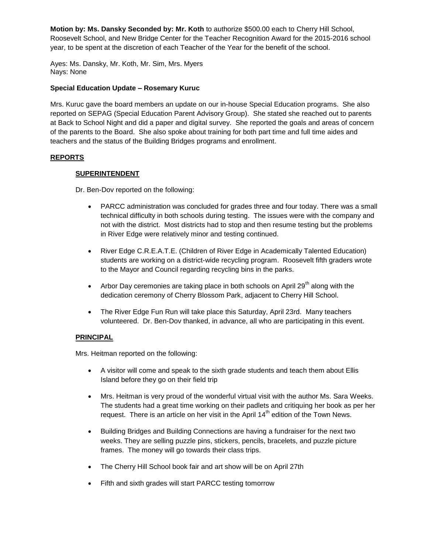**Motion by: Ms. Dansky Seconded by: Mr. Koth** to authorize \$500.00 each to Cherry Hill School, Roosevelt School, and New Bridge Center for the Teacher Recognition Award for the 2015-2016 school year, to be spent at the discretion of each Teacher of the Year for the benefit of the school.

Ayes: Ms. Dansky, Mr. Koth, Mr. Sim, Mrs. Myers Nays: None

## **Special Education Update – Rosemary Kuruc**

Mrs. Kuruc gave the board members an update on our in-house Special Education programs. She also reported on SEPAG (Special Education Parent Advisory Group). She stated she reached out to parents at Back to School Night and did a paper and digital survey. She reported the goals and areas of concern of the parents to the Board. She also spoke about training for both part time and full time aides and teachers and the status of the Building Bridges programs and enrollment.

## **REPORTS**

### **SUPERINTENDENT**

Dr. Ben-Dov reported on the following:

- PARCC administration was concluded for grades three and four today. There was a small technical difficulty in both schools during testing. The issues were with the company and not with the district. Most districts had to stop and then resume testing but the problems in River Edge were relatively minor and testing continued.
- River Edge C.R.E.A.T.E. (Children of River Edge in Academically Talented Education) students are working on a district-wide recycling program. Roosevelt fifth graders wrote to the Mayor and Council regarding recycling bins in the parks.
- Arbor Day ceremonies are taking place in both schools on April 29<sup>th</sup> along with the dedication ceremony of Cherry Blossom Park, adjacent to Cherry Hill School.
- The River Edge Fun Run will take place this Saturday, April 23rd. Many teachers volunteered. Dr. Ben-Dov thanked, in advance, all who are participating in this event.

#### **PRINCIPAL**

Mrs. Heitman reported on the following:

- A visitor will come and speak to the sixth grade students and teach them about Ellis Island before they go on their field trip
- Mrs. Heitman is very proud of the wonderful virtual visit with the author Ms. Sara Weeks. The students had a great time working on their padlets and critiquing her book as per her request. There is an article on her visit in the April  $14<sup>th</sup>$  edition of the Town News.
- Building Bridges and Building Connections are having a fundraiser for the next two weeks. They are selling puzzle pins, stickers, pencils, bracelets, and puzzle picture frames. The money will go towards their class trips.
- The Cherry Hill School book fair and art show will be on April 27th
- Fifth and sixth grades will start PARCC testing tomorrow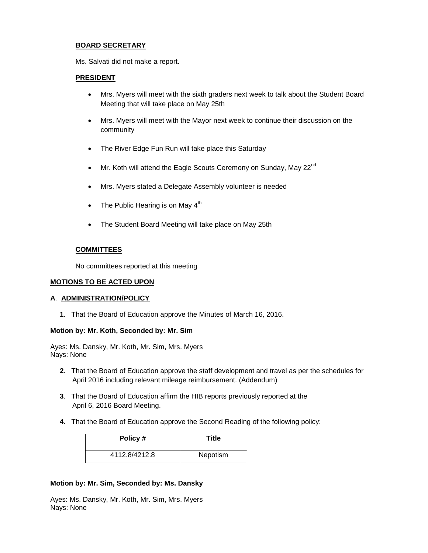## **BOARD SECRETARY**

Ms. Salvati did not make a report.

#### **PRESIDENT**

- Mrs. Myers will meet with the sixth graders next week to talk about the Student Board Meeting that will take place on May 25th
- Mrs. Myers will meet with the Mayor next week to continue their discussion on the community
- The River Edge Fun Run will take place this Saturday
- $\bullet$  Mr. Koth will attend the Eagle Scouts Ceremony on Sunday, May 22 $^{\text{nd}}$
- Mrs. Myers stated a Delegate Assembly volunteer is needed
- The Public Hearing is on May  $4<sup>th</sup>$
- The Student Board Meeting will take place on May 25th

## **COMMITTEES**

No committees reported at this meeting

#### **MOTIONS TO BE ACTED UPON**

#### **A**. **ADMINISTRATION/POLICY**

**1**. That the Board of Education approve the Minutes of March 16, 2016.

## **Motion by: Mr. Koth, Seconded by: Mr. Sim**

Ayes: Ms. Dansky, Mr. Koth, Mr. Sim, Mrs. Myers Nays: None

- **2**. That the Board of Education approve the staff development and travel as per the schedules for April 2016 including relevant mileage reimbursement. (Addendum)
- **3**. That the Board of Education affirm the HIB reports previously reported at the April 6, 2016 Board Meeting.
- **4**. That the Board of Education approve the Second Reading of the following policy:

| Policy #      | Title    |
|---------------|----------|
| 4112.8/4212.8 | Nepotism |

#### **Motion by: Mr. Sim, Seconded by: Ms. Dansky**

Ayes: Ms. Dansky, Mr. Koth, Mr. Sim, Mrs. Myers Nays: None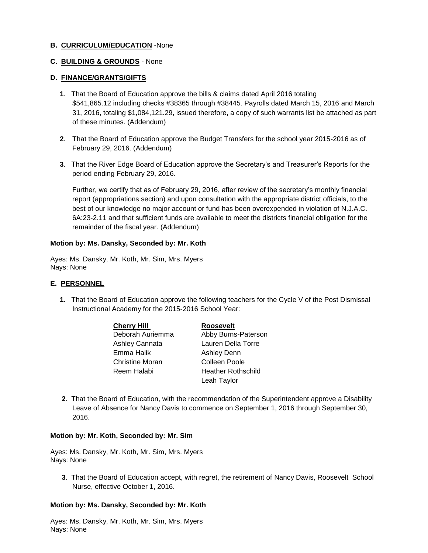### **B. CURRICULUM/EDUCATION** -None

## **C. BUILDING & GROUNDS** - None

#### **D. FINANCE/GRANTS/GIFTS**

- **1**. That the Board of Education approve the bills & claims dated April 2016 totaling \$541,865.12 including checks #38365 through #38445. Payrolls dated March 15, 2016 and March 31, 2016, totaling \$1,084,121.29, issued therefore, a copy of such warrants list be attached as part of these minutes. (Addendum)
- **2**. That the Board of Education approve the Budget Transfers for the school year 2015-2016 as of February 29, 2016. (Addendum)
- **3**. That the River Edge Board of Education approve the Secretary's and Treasurer's Reports for the period ending February 29, 2016.

Further, we certify that as of February 29, 2016, after review of the secretary's monthly financial report (appropriations section) and upon consultation with the appropriate district officials, to the best of our knowledge no major account or fund has been overexpended in violation of N.J.A.C. 6A:23-2.11 and that sufficient funds are available to meet the districts financial obligation for the remainder of the fiscal year. (Addendum)

#### **Motion by: Ms. Dansky, Seconded by: Mr. Koth**

Ayes: Ms. Dansky, Mr. Koth, Mr. Sim, Mrs. Myers Nays: None

#### **E. PERSONNEL**

**1**. That the Board of Education approve the following teachers for the Cycle V of the Post Dismissal Instructional Academy for the 2015-2016 School Year:

| <b>Cherry Hill</b>     | <b>Roosevelt</b>          |
|------------------------|---------------------------|
| Deborah Auriemma       | Abby Burns-Paterson       |
| Ashley Cannata         | Lauren Della Torre        |
| Emma Halik             | <b>Ashley Denn</b>        |
| <b>Christine Moran</b> | Colleen Poole             |
| Reem Halabi            | <b>Heather Rothschild</b> |
|                        | Leah Taylor               |

**2**. That the Board of Education, with the recommendation of the Superintendent approve a Disability Leave of Absence for Nancy Davis to commence on September 1, 2016 through September 30, 2016.

#### **Motion by: Mr. Koth, Seconded by: Mr. Sim**

Ayes: Ms. Dansky, Mr. Koth, Mr. Sim, Mrs. Myers Nays: None

**3**. That the Board of Education accept, with regret, the retirement of Nancy Davis, Roosevelt School Nurse, effective October 1, 2016.

#### **Motion by: Ms. Dansky, Seconded by: Mr. Koth**

Ayes: Ms. Dansky, Mr. Koth, Mr. Sim, Mrs. Myers Nays: None